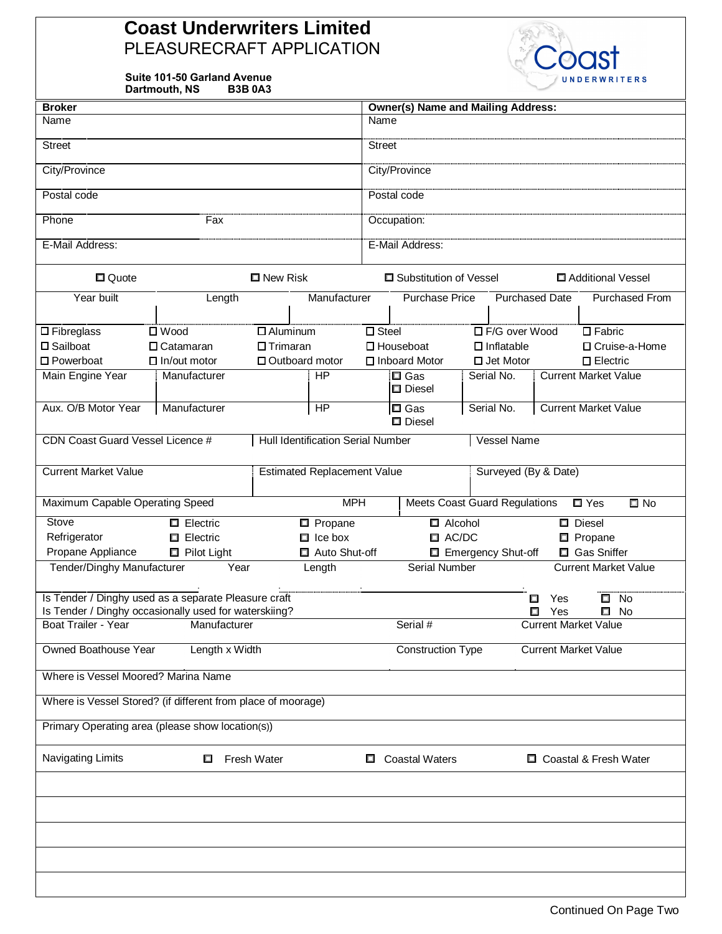## **Coast Underwriters Limited** PLEASURECRAFT APPLICATION

**Suite 101-50 Garland Avenue Dartmouth, NS B3B 0A3**



| <b>Broker</b>                                                                                                 |                                          |                  |                  |                                               | <b>Owner(s) Name and Mailing Address:</b>        |                                         |                             |                             |  |
|---------------------------------------------------------------------------------------------------------------|------------------------------------------|------------------|------------------|-----------------------------------------------|--------------------------------------------------|-----------------------------------------|-----------------------------|-----------------------------|--|
| Name                                                                                                          |                                          |                  |                  | Name                                          |                                                  |                                         |                             |                             |  |
| <b>Street</b>                                                                                                 |                                          |                  |                  | <b>Street</b>                                 |                                                  |                                         |                             |                             |  |
| City/Province                                                                                                 |                                          |                  |                  | City/Province                                 |                                                  |                                         |                             |                             |  |
| Postal code                                                                                                   |                                          |                  |                  | Postal code                                   |                                                  |                                         |                             |                             |  |
| Phone                                                                                                         | Fax                                      |                  |                  | Occupation:                                   |                                                  |                                         |                             |                             |  |
| E-Mail Address:                                                                                               |                                          |                  |                  | E-Mail Address:                               |                                                  |                                         |                             |                             |  |
| □ Quote                                                                                                       |                                          | □ New Risk       |                  | Additional Vessel<br>□ Substitution of Vessel |                                                  |                                         |                             |                             |  |
| Year built                                                                                                    | Length                                   |                  | Manufacturer     |                                               | <b>Purchase Price</b>                            |                                         | <b>Purchased Date</b>       | Purchased From              |  |
| $\square$ Fibreglass                                                                                          | $\square$ Wood                           | $\Box$ Aluminum  |                  | $\square$ Steel                               |                                                  |                                         | □ F/G over Wood             | $\overline{\Box}$ Fabric    |  |
| □ Sailboat                                                                                                    | $\Box$ Trimaran<br>$\Box$ Catamaran      |                  |                  | $\Box$ Houseboat                              | $\Box$ Inflatable                                |                                         | □ Cruise-a-Home             |                             |  |
| □ Powerboat                                                                                                   | $\Box$ In/out motor                      |                  | □ Outboard motor |                                               | □ Inboard Motor<br>$\Box$ Jet Motor              |                                         |                             | $\square$ Electric          |  |
| Main Engine Year                                                                                              | Manufacturer                             |                  | HP               |                                               | $\Box$ Gas<br>D Diesel                           | Serial No.                              |                             | <b>Current Market Value</b> |  |
| Aux. O/B Motor Year                                                                                           | Manufacturer                             |                  | HP               |                                               | $\Box$ Gas<br>D Diesel                           | Serial No.                              | <b>Current Market Value</b> |                             |  |
| CDN Coast Guard Vessel Licence #                                                                              | <b>Hull Identification Serial Number</b> |                  |                  | <b>Vessel Name</b>                            |                                                  |                                         |                             |                             |  |
|                                                                                                               |                                          |                  |                  |                                               |                                                  |                                         |                             |                             |  |
| <b>Current Market Value</b><br><b>Estimated Replacement Value</b>                                             |                                          |                  |                  | Surveyed (By & Date)                          |                                                  |                                         |                             |                             |  |
| Maximum Capable Operating Speed                                                                               |                                          |                  | <b>MPH</b>       |                                               | <b>Meets Coast Guard Regulations</b>             |                                         |                             | $\Box$ Yes<br>$\square$ No  |  |
| Stove<br>$\Box$ Electric                                                                                      |                                          | <b>D</b> Propane |                  |                                               | $\Box$ Alcohol                                   |                                         |                             | $\square$ Diesel            |  |
| Refrigerator<br>$\Box$ Electric                                                                               |                                          | $\Box$ Ice box   |                  |                                               | $\Box$ AC/DC                                     |                                         |                             | <b>D</b> Propane            |  |
| Propane Appliance<br>Pilot Light                                                                              |                                          | Auto Shut-off    |                  | Emergency Shut-off                            |                                                  |                                         | Gas Sniffer                 |                             |  |
| Tender/Dinghy Manufacturer                                                                                    | Year                                     |                  | Length           |                                               | Serial Number                                    |                                         |                             | <b>Current Market Value</b> |  |
| Is Tender / Dinghy used as a separate Pleasure craft<br>Is Tender / Dinghy occasionally used for waterskiing? |                                          |                  |                  |                                               |                                                  |                                         | Yes<br>□                    | $\Box$ No                   |  |
| Boat Trailer - Year                                                                                           |                                          |                  |                  | Serial #                                      |                                                  | Yes<br>□<br><b>Current Market Value</b> | $\Box$<br>No                |                             |  |
| <b>Owned Boathouse Year</b>                                                                                   | Manufacturer                             |                  |                  | <b>Construction Type</b>                      |                                                  |                                         |                             | <b>Current Market Value</b> |  |
| Length x Width                                                                                                |                                          |                  |                  |                                               |                                                  |                                         |                             |                             |  |
| Where is Vessel Moored? Marina Name                                                                           |                                          |                  |                  |                                               |                                                  |                                         |                             |                             |  |
| Where is Vessel Stored? (if different from place of moorage)                                                  |                                          |                  |                  |                                               |                                                  |                                         |                             |                             |  |
| Primary Operating area (please show location(s))                                                              |                                          |                  |                  |                                               |                                                  |                                         |                             |                             |  |
| Navigating Limits<br><b>Fresh Water</b><br>□                                                                  |                                          |                  |                  |                                               | <b>Coastal Waters</b><br>□ Coastal & Fresh Water |                                         |                             |                             |  |
|                                                                                                               |                                          |                  |                  |                                               |                                                  |                                         |                             |                             |  |
|                                                                                                               |                                          |                  |                  |                                               |                                                  |                                         |                             |                             |  |
|                                                                                                               |                                          |                  |                  |                                               |                                                  |                                         |                             |                             |  |
|                                                                                                               |                                          |                  |                  |                                               |                                                  |                                         |                             |                             |  |
|                                                                                                               |                                          |                  |                  |                                               |                                                  |                                         |                             |                             |  |